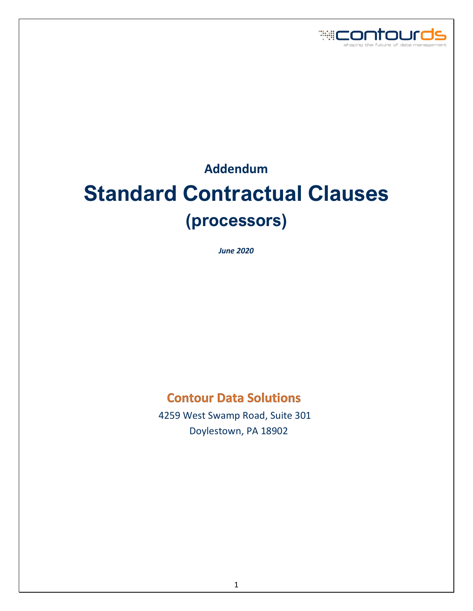

**Addendum**

# **Standard Contractual Clauses (processors)**

*June 2020*

## **Contour Data Solutions**

 4259 West Swamp Road, Suite 301 Doylestown, PA 18902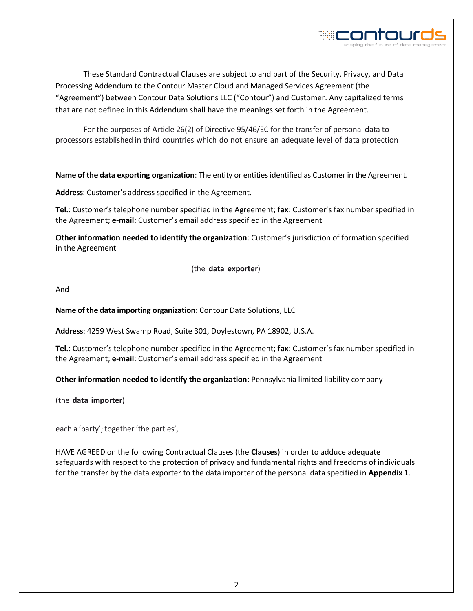

These Standard Contractual Clauses are subject to and part of the Security, Privacy, and Data Processing Addendum to the Contour Master Cloud and Managed Services Agreement (the "Agreement") between Contour Data Solutions LLC ("Contour") and Customer. Any capitalized terms that are not defined in this Addendum shall have the meanings set forth in the Agreement.

For the purposes of Article 26(2) of Directive 95/46/EC for the transfer of personal data to processors established in third countries which do not ensure an adequate level of data protection

**Name of the data exporting organization**: The entity or entities identified as Customer in the Agreement.

**Address**: Customer's address specified in the Agreement.

**Tel.**: Customer's telephone number specified in the Agreement; **fax**: Customer's fax number specified in the Agreement; **e-mail**: Customer's email address specified in the Agreement

**Other information needed to identify the organization**: Customer's jurisdiction of formation specified in the Agreement

(the **data exporter**)

And

**Name of the data importing organization**: Contour Data Solutions, LLC

**Address**: 4259 West Swamp Road, Suite 301, Doylestown, PA 18902, U.S.A.

**Tel.**: Customer's telephone number specified in the Agreement; **fax**: Customer's fax number specified in the Agreement; **e-mail**: Customer's email address specified in the Agreement

**Other information needed to identify the organization**: Pennsylvania limited liability company

(the **data importer**)

each a 'party'; together 'the parties',

HAVE AGREED on the following Contractual Clauses (the **Clauses**) in order to adduce adequate safeguards with respect to the protection of privacy and fundamental rights and freedoms of individuals for the transfer by the data exporter to the data importer of the personal data specified in **Appendix 1**.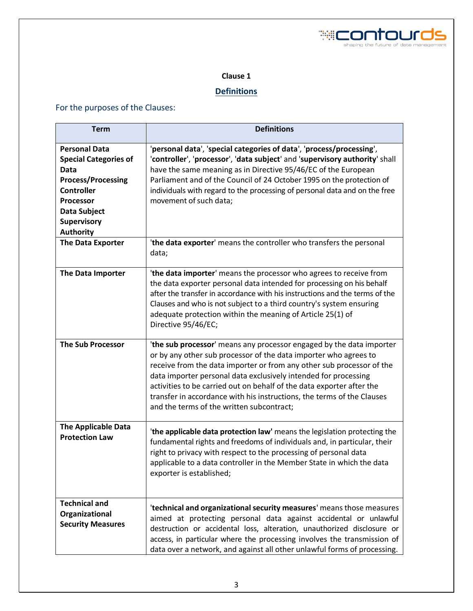

#### **Clause 1**

## **Definitions**

## For the purposes of the Clauses:

| <b>Term</b>                                                                                                                                                                                         | <b>Definitions</b>                                                                                                                                                                                                                                                                                                                                                                                                                                                                   |
|-----------------------------------------------------------------------------------------------------------------------------------------------------------------------------------------------------|--------------------------------------------------------------------------------------------------------------------------------------------------------------------------------------------------------------------------------------------------------------------------------------------------------------------------------------------------------------------------------------------------------------------------------------------------------------------------------------|
| <b>Personal Data</b><br><b>Special Categories of</b><br><b>Data</b><br><b>Process/Processing</b><br><b>Controller</b><br><b>Processor</b><br>Data Subject<br><b>Supervisory</b><br><b>Authority</b> | 'personal data', 'special categories of data', 'process/processing',<br>'controller', 'processor', 'data subject' and 'supervisory authority' shall<br>have the same meaning as in Directive 95/46/EC of the European<br>Parliament and of the Council of 24 October 1995 on the protection of<br>individuals with regard to the processing of personal data and on the free<br>movement of such data;                                                                               |
| <b>The Data Exporter</b>                                                                                                                                                                            | 'the data exporter' means the controller who transfers the personal<br>data;                                                                                                                                                                                                                                                                                                                                                                                                         |
| The Data Importer                                                                                                                                                                                   | 'the data importer' means the processor who agrees to receive from<br>the data exporter personal data intended for processing on his behalf<br>after the transfer in accordance with his instructions and the terms of the<br>Clauses and who is not subject to a third country's system ensuring<br>adequate protection within the meaning of Article 25(1) of<br>Directive 95/46/EC;                                                                                               |
| <b>The Sub Processor</b>                                                                                                                                                                            | 'the sub processor' means any processor engaged by the data importer<br>or by any other sub processor of the data importer who agrees to<br>receive from the data importer or from any other sub processor of the<br>data importer personal data exclusively intended for processing<br>activities to be carried out on behalf of the data exporter after the<br>transfer in accordance with his instructions, the terms of the Clauses<br>and the terms of the written subcontract; |
| <b>The Applicable Data</b><br><b>Protection Law</b>                                                                                                                                                 | 'the applicable data protection law' means the legislation protecting the<br>fundamental rights and freedoms of individuals and, in particular, their<br>right to privacy with respect to the processing of personal data<br>applicable to a data controller in the Member State in which the data<br>exporter is established;                                                                                                                                                       |
| <b>Technical and</b><br>Organizational<br><b>Security Measures</b>                                                                                                                                  | 'technical and organizational security measures' means those measures<br>aimed at protecting personal data against accidental or unlawful<br>destruction or accidental loss, alteration, unauthorized disclosure or<br>access, in particular where the processing involves the transmission of<br>data over a network, and against all other unlawful forms of processing.                                                                                                           |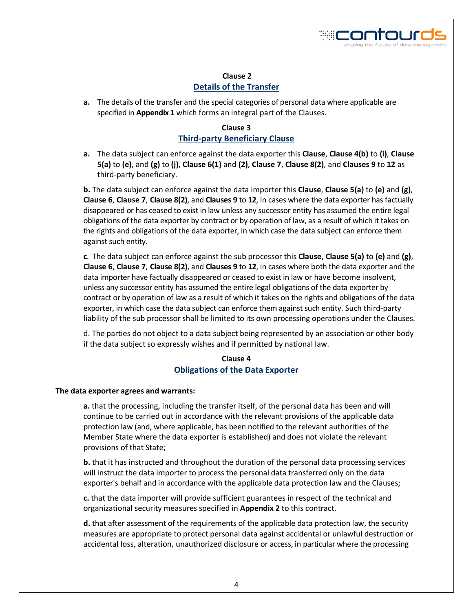

## **Clause 2 Details of the Transfer**

**a.** The details of the transfer and the special categories of personal data where applicable are specified in **Appendix 1** which forms an integral part of the Clauses.

#### **Clause 3**

### **Third-party Beneficiary Clause**

**a.** The data subject can enforce against the data exporter this **Clause**, **Clause 4(b)** to **(i)**, **Clause 5(a)** to **(e)**, and **(g)** to **(j)**, **Clause 6(1)** and **(2)**, **Clause 7**, **Clause 8(2)**, and **Clauses 9** to **12** as third-party beneficiary.

**b.** The data subject can enforce against the data importer this **Clause**, **Clause 5(a)** to **(e)** and **(g)**, **Clause 6**, **Clause 7**, **Clause 8(2)**, and **Clauses 9** to **12**, in cases where the data exporter has factually disappeared or has ceased to exist in law unless any successor entity has assumed the entire legal obligations of the data exporter by contract or by operation of law, as a result of which it takes on the rights and obligations of the data exporter, in which case the data subject can enforce them against such entity.

**c**. The data subject can enforce against the sub processor this **Clause**, **Clause 5(a)** to **(e)** and **(g)**, **Clause 6**, **Clause 7**, **Clause 8(2)**, and **Clauses 9** to **12**, in cases where both the data exporter and the data importer have factually disappeared or ceased to exist in law or have become insolvent, unless any successor entity has assumed the entire legal obligations of the data exporter by contract or by operation of law as a result of which it takes on the rights and obligations of the data exporter, in which case the data subject can enforce them against such entity. Such third-party liability of the sub processor shall be limited to its own processing operations under the Clauses.

d. The parties do not object to a data subject being represented by an association or other body if the data subject so expressly wishes and if permitted by national law.

## **Clause 4 Obligations of the Data Exporter**

#### **The data exporter agrees and warrants:**

**a.** that the processing, including the transfer itself, of the personal data has been and will continue to be carried out in accordance with the relevant provisions of the applicable data protection law (and, where applicable, has been notified to the relevant authorities of the Member State where the data exporter is established) and does not violate the relevant provisions of that State;

**b.** that it has instructed and throughout the duration of the personal data processing services will instruct the data importer to process the personal data transferred only on the data exporter's behalf and in accordance with the applicable data protection law and the Clauses;

**c.** that the data importer will provide sufficient guarantees in respect of the technical and organizational security measures specified in **Appendix 2** to this contract.

**d.** that after assessment of the requirements of the applicable data protection law, the security measures are appropriate to protect personal data against accidental or unlawful destruction or accidental loss, alteration, unauthorized disclosure or access, in particular where the processing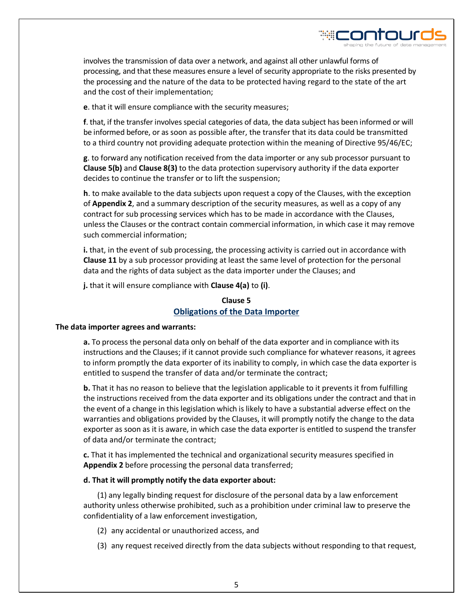

**WHICOL** 

processing, and that these measures ensure a level of security appropriate to the risks presented by the processing and the nature of the data to be protected having regard to the state of the art and the cost of their implementation;

**e**. that it will ensure compliance with the security measures;

**f**. that, if the transfer involves special categories of data, the data subject has been informed or will be informed before, or as soon as possible after, the transfer that its data could be transmitted to a third country not providing adequate protection within the meaning of Directive 95/46/EC;

**g**. to forward any notification received from the data importer or any sub processor pursuant to **Clause 5(b)** and **Clause 8(3)** to the data protection supervisory authority if the data exporter decides to continue the transfer or to lift the suspension;

**h**. to make available to the data subjects upon request a copy of the Clauses, with the exception of **Appendix 2**, and a summary description of the security measures, as well as a copy of any contract for sub processing services which has to be made in accordance with the Clauses, unless the Clauses or the contract contain commercial information, in which case it may remove such commercial information;

**i.** that, in the event of sub processing, the processing activity is carried out in accordance with **Clause 11** by a sub processor providing at least the same level of protection for the personal data and the rights of data subject as the data importer under the Clauses; and

**j.** that it will ensure compliance with **Clause 4(a)** to **(i)**.

## **Clause 5 Obligations of the Data Importer**

#### **The data importer agrees and warrants:**

**a.** To process the personal data only on behalf of the data exporter and in compliance with its instructions and the Clauses; if it cannot provide such compliance for whatever reasons, it agrees to inform promptly the data exporter of its inability to comply, in which case the data exporter is entitled to suspend the transfer of data and/or terminate the contract;

**b.** That it has no reason to believe that the legislation applicable to it prevents it from fulfilling the instructions received from the data exporter and its obligations under the contract and that in the event of a change in this legislation which is likely to have a substantial adverse effect on the warranties and obligations provided by the Clauses, it will promptly notify the change to the data exporter as soon as it is aware, in which case the data exporter is entitled to suspend the transfer of data and/or terminate the contract;

**c.** That it has implemented the technical and organizational security measures specified in **Appendix 2** before processing the personal data transferred;

#### **d. That it will promptly notify the data exporter about:**

(1) any legally binding request for disclosure of the personal data by a law enforcement authority unless otherwise prohibited, such as a prohibition under criminal law to preserve the confidentiality of a law enforcement investigation,

(2) any accidental or unauthorized access, and

(3) any request received directly from the data subjects without responding to that request,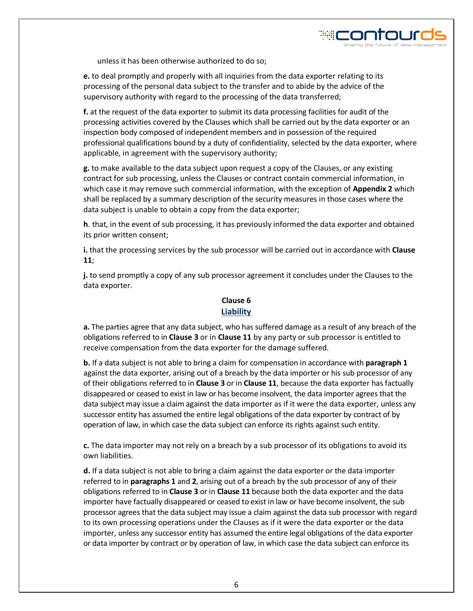

unless it has been otherwise authorized to do so;

**e.** to deal promptly and properly with all inquiries from the data exporter relating to its processing of the personal data subject to the transfer and to abide by the advice of the supervisory authority with regard to the processing of the data transferred;

**f.** at the request of the data exporter to submit its data processing facilities for audit of the processing activities covered by the Clauses which shall be carried out by the data exporter or an inspection body composed of independent members and in possession of the required professional qualifications bound by a duty of confidentiality, selected by the data exporter, where applicable, in agreement with the supervisory authority;

**g.** to make available to the data subject upon request a copy of the Clauses, or any existing contract for sub processing, unless the Clauses or contract contain commercial information, in which case it may remove such commercial information, with the exception of **Appendix 2** which shall be replaced by a summary description of the security measures in those cases where the data subject is unable to obtain a copy from the data exporter;

**h**. that, in the event of sub processing, it has previously informed the data exporter and obtained its prior written consent;

**i.** that the processing services by the sub processor will be carried out in accordance with **Clause 11**;

**j.** to send promptly a copy of any sub processor agreement it concludes under the Clauses to the data exporter.

## **Clause 6 Liability**

**a.** The parties agree that any data subject, who has suffered damage as a result of any breach of the obligations referred to in **Clause 3** or in **Clause 11** by any party or sub processor is entitled to receive compensation from the data exporter for the damage suffered.

**b.** If a data subject is not able to bring a claim for compensation in accordance with **paragraph 1** against the data exporter, arising out of a breach by the data importer or his sub processor of any of their obligations referred to in **Clause 3** or in **Clause 11**, because the data exporter has factually disappeared or ceased to exist in law or has become insolvent, the data importer agrees that the data subject may issue a claim against the data importer as if it were the data exporter, unless any successor entity has assumed the entire legal obligations of the data exporter by contract of by operation of law, in which case the data subject can enforce its rights against such entity.

**c.** The data importer may not rely on a breach by a sub processor of its obligations to avoid its own liabilities.

**d.** If a data subject is not able to bring a claim against the data exporter or the data importer referred to in **paragraphs 1** and **2**, arising out of a breach by the sub processor of any of their obligations referred to in **Clause 3** or in **Clause 11** because both the data exporter and the data importer have factually disappeared or ceased to exist in law or have become insolvent, the sub processor agrees that the data subject may issue a claim against the data sub processor with regard to its own processing operations under the Clauses as if it were the data exporter or the data importer, unless any successor entity has assumed the entire legal obligations of the data exporter or data importer by contract or by operation of law, in which case the data subject can enforce its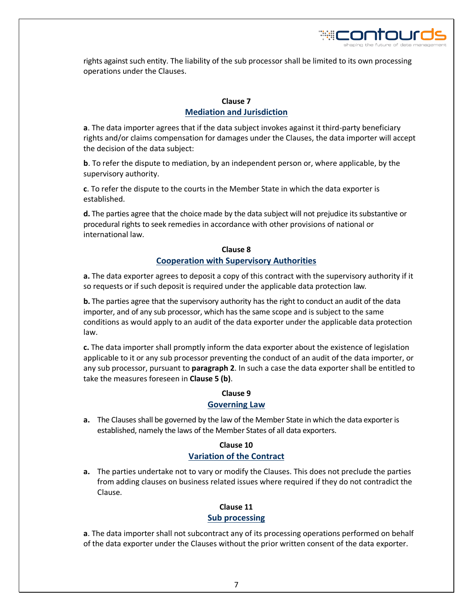rights against such entity. The liability of the sub processor shall be limited to its own processing operations under the Clauses.

## **Clause 7 Mediation and Jurisdiction**

**a**. The data importer agrees that if the data subject invokes against it third-party beneficiary rights and/or claims compensation for damages under the Clauses, the data importer will accept the decision of the data subject:

**b**. To refer the dispute to mediation, by an independent person or, where applicable, by the supervisory authority.

**c**. To refer the dispute to the courts in the Member State in which the data exporter is established.

**d.** The parties agree that the choice made by the data subject will not prejudice its substantive or procedural rights to seek remedies in accordance with other provisions of national or international law.

### **Clause 8 Cooperation with Supervisory Authorities**

**a.** The data exporter agrees to deposit a copy of this contract with the supervisory authority if it so requests or if such deposit is required under the applicable data protection law.

**b.** The parties agree that the supervisory authority has the right to conduct an audit of the data importer, and of any sub processor, which has the same scope and is subject to the same conditions as would apply to an audit of the data exporter under the applicable data protection law.

**c.** The data importer shall promptly inform the data exporter about the existence of legislation applicable to it or any sub processor preventing the conduct of an audit of the data importer, or any sub processor, pursuant to **paragraph 2**. In such a case the data exporter shall be entitled to take the measures foreseen in **Clause 5 (b)**.

## **Clause 9 Governing Law**

**a.** The Clauses shall be governed by the law of the Member State in which the data exporter is established, namely the laws of the Member States of all data exporters.

## **Clause 10 Variation of the Contract**

**a.** The parties undertake not to vary or modify the Clauses. This does not preclude the parties from adding clauses on business related issues where required if they do not contradict the Clause.

#### **Clause 11 Sub processing**

**a**. The data importer shall not subcontract any of its processing operations performed on behalf of the data exporter under the Clauses without the prior written consent of the data exporter.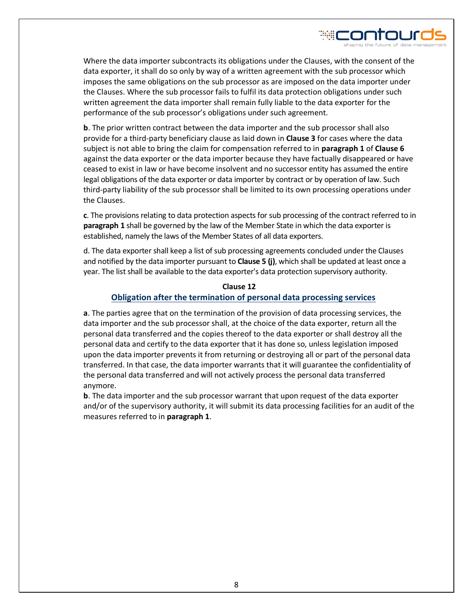

₩CONTOU

**b**. The prior written contract between the data importer and the sub processor shall also provide for a third-party beneficiary clause as laid down in **Clause 3** for cases where the data subject is not able to bring the claim for compensation referred to in **paragraph 1** of **Clause 6** against the data exporter or the data importer because they have factually disappeared or have ceased to exist in law or have become insolvent and no successor entity has assumed the entire legal obligations of the data exporter or data importer by contract or by operation of law. Such third-party liability of the sub processor shall be limited to its own processing operations under the Clauses.

**c**. The provisions relating to data protection aspects for sub processing of the contract referred to in **paragraph 1** shall be governed by the law of the Member State in which the data exporter is established, namely the laws of the Member States of all data exporters.

d. The data exporter shall keep a list of sub processing agreements concluded under the Clauses and notified by the data importer pursuant to **Clause 5 (j)**, which shall be updated at least once a year. The list shall be available to the data exporter's data protection supervisory authority.

#### **Clause 12**

#### **Obligation after the termination of personal data processing services**

**a**. The parties agree that on the termination of the provision of data processing services, the data importer and the sub processor shall, at the choice of the data exporter, return all the personal data transferred and the copies thereof to the data exporter or shall destroy all the personal data and certify to the data exporter that it has done so, unless legislation imposed upon the data importer prevents it from returning or destroying all or part of the personal data transferred. In that case, the data importer warrants that it will guarantee the confidentiality of the personal data transferred and will not actively process the personal data transferred anymore.

**b**. The data importer and the sub processor warrant that upon request of the data exporter and/or of the supervisory authority, it will submit its data processing facilities for an audit of the measures referred to in **paragraph 1**.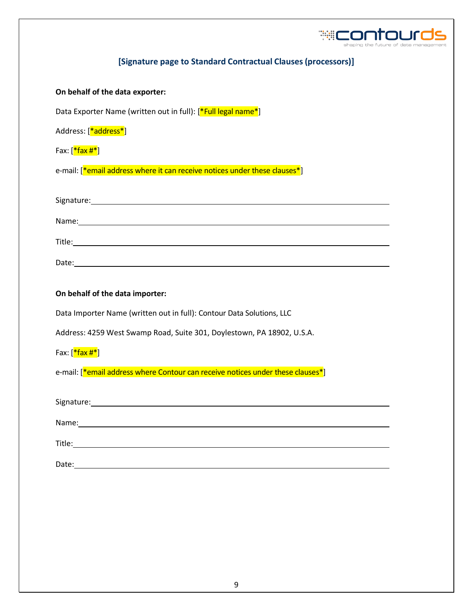| shaping the future of data manager                                                                                                                                                                                             |
|--------------------------------------------------------------------------------------------------------------------------------------------------------------------------------------------------------------------------------|
| [Signature page to Standard Contractual Clauses (processors)]                                                                                                                                                                  |
| On behalf of the data exporter:                                                                                                                                                                                                |
| Data Exporter Name (written out in full): [*Full legal name*]                                                                                                                                                                  |
| Address: [*address*]                                                                                                                                                                                                           |
| Fax: [ <mark>*fax #*</mark> ]                                                                                                                                                                                                  |
| e-mail: [*email address where it can receive notices under these clauses*]                                                                                                                                                     |
|                                                                                                                                                                                                                                |
| Name: Name: Name: Name: Name: Name: Name: Name: Name: Name: Name: Name: Name: Name: Name: Name: Name: Name: Name: Name: Name: Name: Name: Name: Name: Name: Name: Name: Name: Name: Name: Name: Name: Name: Name: Name: Name:  |
| Title: <u>Alexander Alexander Alexander Alexander Alexander Alexander Alexander Alexander Alexander Alexander Alex</u>                                                                                                         |
|                                                                                                                                                                                                                                |
| On behalf of the data importer:                                                                                                                                                                                                |
| Data Importer Name (written out in full): Contour Data Solutions, LLC                                                                                                                                                          |
| Address: 4259 West Swamp Road, Suite 301, Doylestown, PA 18902, U.S.A.                                                                                                                                                         |
| Fax: [ <mark>*fax #*</mark> ]                                                                                                                                                                                                  |
| e-mail: [*email address where Contour can receive notices under these clauses*]                                                                                                                                                |
|                                                                                                                                                                                                                                |
| Name: Name: Name: Name: Name: Name: Name: Name: Name: Name: Name: Name: Name: Name: Name: Name: Name: Name: Name: Name: Name: Name: Name: Name: Name: Name: Name: Name: Name: Name: Name: Name: Name: Name: Name: Name: Name:  |
|                                                                                                                                                                                                                                |
| Date: http://www.archive.com/contract/communications/communications/communications/communications/communications/communications/communications/communications/communications/communications/communications/communications/comm |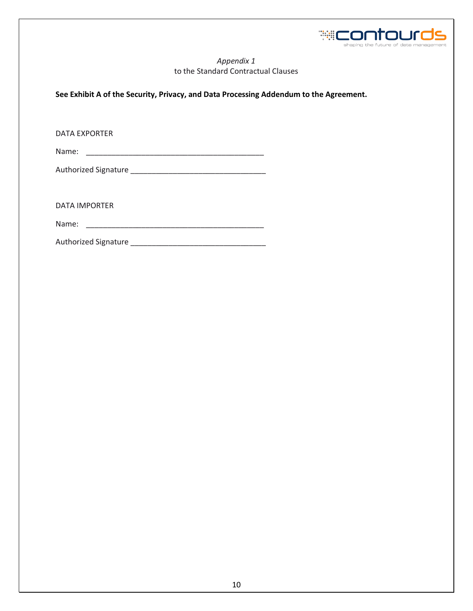

## *Appendix 1* to the Standard Contractual Clauses

| See Exhibit A of the Security, Privacy, and Data Processing Addendum to the Agreement. |  |  |  |  |  |  |  |  |
|----------------------------------------------------------------------------------------|--|--|--|--|--|--|--|--|
|                                                                                        |  |  |  |  |  |  |  |  |
| DATA EXPORTER                                                                          |  |  |  |  |  |  |  |  |
|                                                                                        |  |  |  |  |  |  |  |  |
|                                                                                        |  |  |  |  |  |  |  |  |
|                                                                                        |  |  |  |  |  |  |  |  |
| <b>DATA IMPORTER</b>                                                                   |  |  |  |  |  |  |  |  |
|                                                                                        |  |  |  |  |  |  |  |  |
|                                                                                        |  |  |  |  |  |  |  |  |